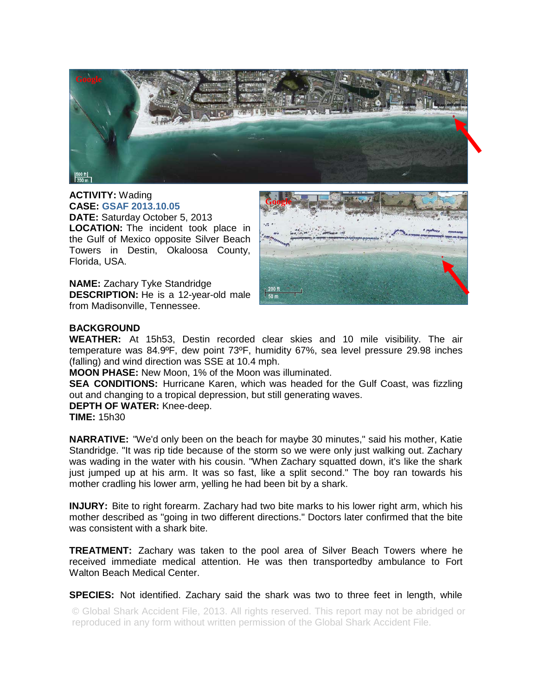

**ACTIVITY:** Wading **CASE: GSAF 2013.10.05 DATE:** Saturday October 5, 2013 **LOCATION:** The incident took place in the Gulf of Mexico opposite Silver Beach Towers in Destin, Okaloosa County, Florida, USA.

**NAME:** Zachary Tyke Standridge **DESCRIPTION:** He is a 12-year-old male from Madisonville, Tennessee.



## **BACKGROUND**

**WEATHER:** At 15h53, Destin recorded clear skies and 10 mile visibility. The air temperature was 84.9ºF, dew point 73ºF, humidity 67%, sea level pressure 29.98 inches (falling) and wind direction was SSE at 10.4 mph.

**MOON PHASE:** New Moon, 1% of the Moon was illuminated.

**SEA CONDITIONS:** Hurricane Karen, which was headed for the Gulf Coast, was fizzling out and changing to a tropical depression, but still generating waves.

**DEPTH OF WATER:** Knee-deep.

**TIME:** 15h30

**NARRATIVE:** "We'd only been on the beach for maybe 30 minutes," said his mother, Katie Standridge. "It was rip tide because of the storm so we were only just walking out. Zachary was wading in the water with his cousin. "When Zachary squatted down, it's like the shark just jumped up at his arm. It was so fast, like a split second." The boy ran towards his mother cradling his lower arm, yelling he had been bit by a shark.

**INJURY:** Bite to right forearm. Zachary had two bite marks to his lower right arm, which his mother described as "going in two different directions." Doctors later confirmed that the bite was consistent with a shark bite.

**TREATMENT:** Zachary was taken to the pool area of Silver Beach Towers where he received immediate medical attention. He was then transportedby ambulance to Fort Walton Beach Medical Center.

**SPECIES:** Not identified. Zachary said the shark was two to three feet in length, while

© Global Shark Accident File, 2013. All rights reserved. This report may not be abridged or reproduced in any form without written permission of the Global Shark Accident File.